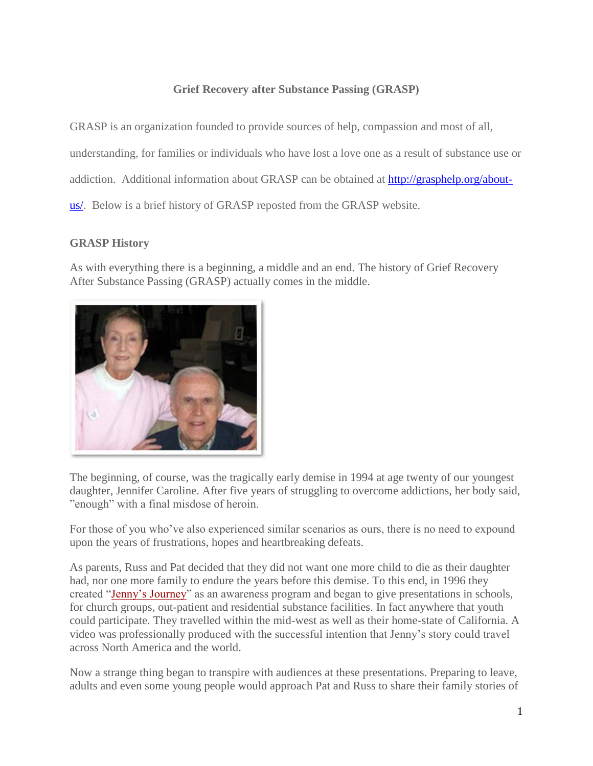## **Grief Recovery after Substance Passing (GRASP)**

GRASP is an organization founded to provide sources of help, compassion and most of all, understanding, for families or individuals who have lost a love one as a result of substance use or

addiction. Additional information about GRASP can be obtained at [http://grasphelp.org/about-](http://grasphelp.org/about-us/)

[us/.](http://grasphelp.org/about-us/) Below is a brief history of GRASP reposted from the GRASP website.

## **GRASP History**

As with everything there is a beginning, a middle and an end. The history of Grief Recovery After Substance Passing (GRASP) actually comes in the middle.



The beginning, of course, was the tragically early demise in 1994 at age twenty of our youngest daughter, Jennifer Caroline. After five years of struggling to overcome addictions, her body said, "enough" with a final misdose of heroin.

For those of you who've also experienced similar scenarios as ours, there is no need to expound upon the years of frustrations, hopes and heartbreaking defeats.

As parents, Russ and Pat decided that they did not want one more child to die as their daughter had, nor one more family to endure the years before this demise. To this end, in 1996 they created ["Jenny's Journey"](http://www.jennysjourney.com/) as an awareness program and began to give presentations in schools, for church groups, out-patient and residential substance facilities. In fact anywhere that youth could participate. They travelled within the mid-west as well as their home-state of California. A video was professionally produced with the successful intention that Jenny's story could travel across North America and the world.

Now a strange thing began to transpire with audiences at these presentations. Preparing to leave, adults and even some young people would approach Pat and Russ to share their family stories of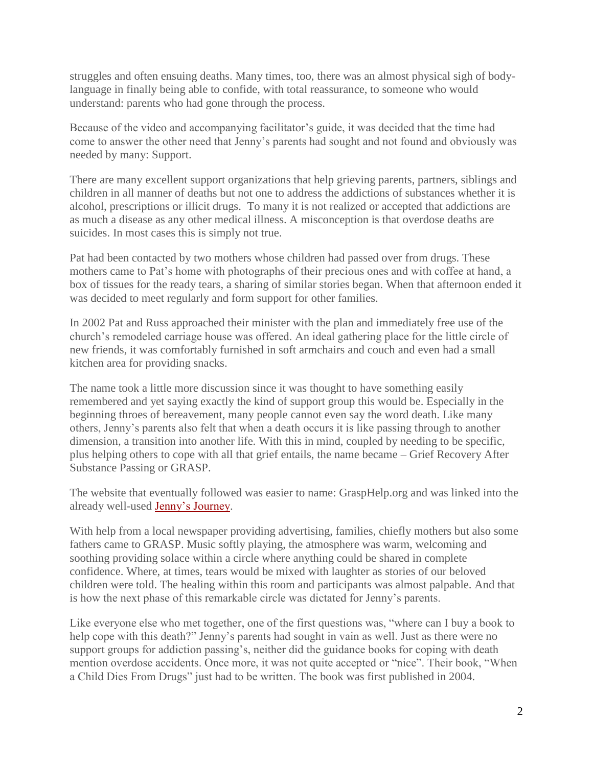struggles and often ensuing deaths. Many times, too, there was an almost physical sigh of bodylanguage in finally being able to confide, with total reassurance, to someone who would understand: parents who had gone through the process.

Because of the video and accompanying facilitator's guide, it was decided that the time had come to answer the other need that Jenny's parents had sought and not found and obviously was needed by many: Support.

There are many excellent support organizations that help grieving parents, partners, siblings and children in all manner of deaths but not one to address the addictions of substances whether it is alcohol, prescriptions or illicit drugs. To many it is not realized or accepted that addictions are as much a disease as any other medical illness. A misconception is that overdose deaths are suicides. In most cases this is simply not true.

Pat had been contacted by two mothers whose children had passed over from drugs. These mothers came to Pat's home with photographs of their precious ones and with coffee at hand, a box of tissues for the ready tears, a sharing of similar stories began. When that afternoon ended it was decided to meet regularly and form support for other families.

In 2002 Pat and Russ approached their minister with the plan and immediately free use of the church's remodeled carriage house was offered. An ideal gathering place for the little circle of new friends, it was comfortably furnished in soft armchairs and couch and even had a small kitchen area for providing snacks.

The name took a little more discussion since it was thought to have something easily remembered and yet saying exactly the kind of support group this would be. Especially in the beginning throes of bereavement, many people cannot even say the word death. Like many others, Jenny's parents also felt that when a death occurs it is like passing through to another dimension, a transition into another life. With this in mind, coupled by needing to be specific, plus helping others to cope with all that grief entails, the name became – Grief Recovery After Substance Passing or GRASP.

The website that eventually followed was easier to name: GraspHelp.org and was linked into the already well-used [Jenny's Journey.](http://www.jennysjourney.com/)

With help from a local newspaper providing advertising, families, chiefly mothers but also some fathers came to GRASP. Music softly playing, the atmosphere was warm, welcoming and soothing providing solace within a circle where anything could be shared in complete confidence. Where, at times, tears would be mixed with laughter as stories of our beloved children were told. The healing within this room and participants was almost palpable. And that is how the next phase of this remarkable circle was dictated for Jenny's parents.

Like everyone else who met together, one of the first questions was, "where can I buy a book to help cope with this death?" Jenny's parents had sought in vain as well. Just as there were no support groups for addiction passing's, neither did the guidance books for coping with death mention overdose accidents. Once more, it was not quite accepted or "nice". Their book, "When a Child Dies From Drugs" just had to be written. The book was first published in 2004.